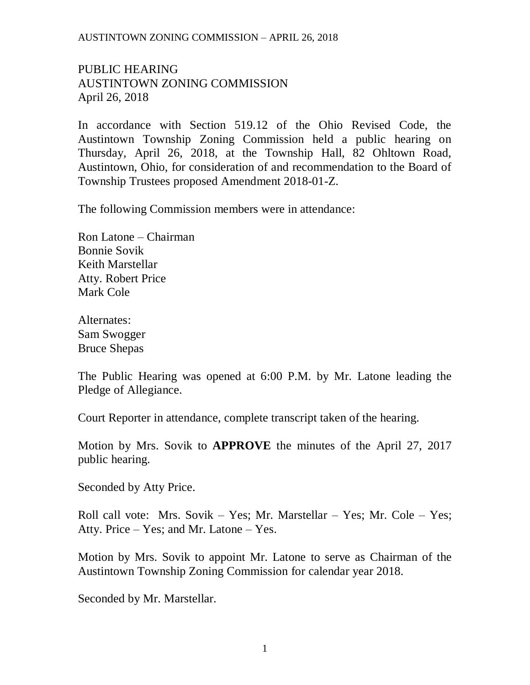## AUSTINTOWN ZONING COMMISSION – APRIL 26, 2018

## PUBLIC HEARING AUSTINTOWN ZONING COMMISSION April 26, 2018

In accordance with Section 519.12 of the Ohio Revised Code, the Austintown Township Zoning Commission held a public hearing on Thursday, April 26, 2018, at the Township Hall, 82 Ohltown Road, Austintown, Ohio, for consideration of and recommendation to the Board of Township Trustees proposed Amendment 2018-01-Z.

The following Commission members were in attendance:

Ron Latone – Chairman Bonnie Sovik Keith Marstellar Atty. Robert Price Mark Cole

Alternates: Sam Swogger Bruce Shepas

The Public Hearing was opened at 6:00 P.M. by Mr. Latone leading the Pledge of Allegiance.

Court Reporter in attendance, complete transcript taken of the hearing.

Motion by Mrs. Sovik to **APPROVE** the minutes of the April 27, 2017 public hearing.

Seconded by Atty Price.

Roll call vote: Mrs. Sovik – Yes; Mr. Marstellar – Yes; Mr. Cole – Yes; Atty. Price – Yes; and Mr. Latone – Yes.

Motion by Mrs. Sovik to appoint Mr. Latone to serve as Chairman of the Austintown Township Zoning Commission for calendar year 2018.

Seconded by Mr. Marstellar.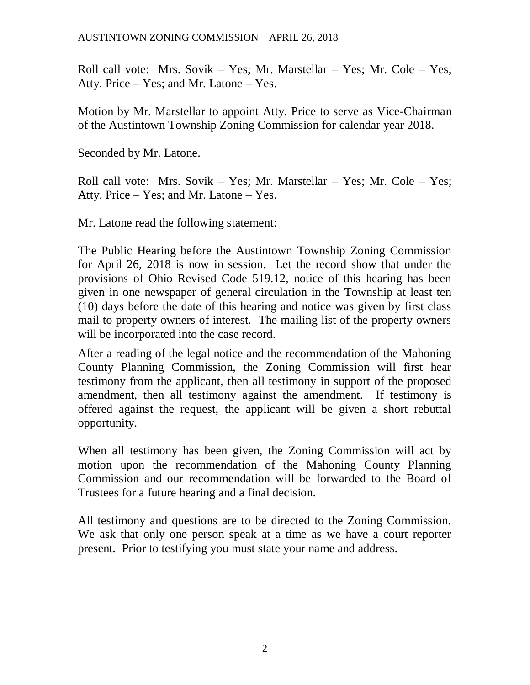Roll call vote: Mrs. Sovik – Yes; Mr. Marstellar – Yes; Mr. Cole – Yes; Atty. Price – Yes; and Mr. Latone – Yes.

Motion by Mr. Marstellar to appoint Atty. Price to serve as Vice-Chairman of the Austintown Township Zoning Commission for calendar year 2018.

Seconded by Mr. Latone.

Roll call vote: Mrs. Sovik – Yes; Mr. Marstellar – Yes; Mr. Cole – Yes; Atty. Price – Yes; and Mr. Latone – Yes.

Mr. Latone read the following statement:

The Public Hearing before the Austintown Township Zoning Commission for April 26, 2018 is now in session. Let the record show that under the provisions of Ohio Revised Code 519.12, notice of this hearing has been given in one newspaper of general circulation in the Township at least ten (10) days before the date of this hearing and notice was given by first class mail to property owners of interest. The mailing list of the property owners will be incorporated into the case record.

After a reading of the legal notice and the recommendation of the Mahoning County Planning Commission, the Zoning Commission will first hear testimony from the applicant, then all testimony in support of the proposed amendment, then all testimony against the amendment. If testimony is offered against the request, the applicant will be given a short rebuttal opportunity.

When all testimony has been given, the Zoning Commission will act by motion upon the recommendation of the Mahoning County Planning Commission and our recommendation will be forwarded to the Board of Trustees for a future hearing and a final decision.

All testimony and questions are to be directed to the Zoning Commission. We ask that only one person speak at a time as we have a court reporter present. Prior to testifying you must state your name and address.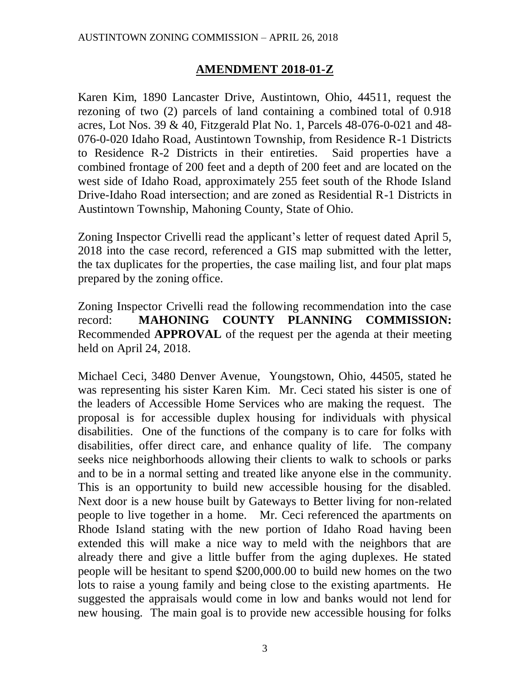## **AMENDMENT 2018-01-Z**

Karen Kim, 1890 Lancaster Drive, Austintown, Ohio, 44511, request the rezoning of two (2) parcels of land containing a combined total of 0.918 acres, Lot Nos. 39 & 40, Fitzgerald Plat No. 1, Parcels 48-076-0-021 and 48- 076-0-020 Idaho Road, Austintown Township, from Residence R-1 Districts to Residence R-2 Districts in their entireties. Said properties have a combined frontage of 200 feet and a depth of 200 feet and are located on the west side of Idaho Road, approximately 255 feet south of the Rhode Island Drive-Idaho Road intersection; and are zoned as Residential R-1 Districts in Austintown Township, Mahoning County, State of Ohio.

Zoning Inspector Crivelli read the applicant's letter of request dated April 5, 2018 into the case record, referenced a GIS map submitted with the letter, the tax duplicates for the properties, the case mailing list, and four plat maps prepared by the zoning office.

Zoning Inspector Crivelli read the following recommendation into the case record: **MAHONING COUNTY PLANNING COMMISSION:** Recommended **APPROVAL** of the request per the agenda at their meeting held on April 24, 2018.

Michael Ceci, 3480 Denver Avenue, Youngstown, Ohio, 44505, stated he was representing his sister Karen Kim. Mr. Ceci stated his sister is one of the leaders of Accessible Home Services who are making the request. The proposal is for accessible duplex housing for individuals with physical disabilities. One of the functions of the company is to care for folks with disabilities, offer direct care, and enhance quality of life. The company seeks nice neighborhoods allowing their clients to walk to schools or parks and to be in a normal setting and treated like anyone else in the community. This is an opportunity to build new accessible housing for the disabled. Next door is a new house built by Gateways to Better living for non-related people to live together in a home. Mr. Ceci referenced the apartments on Rhode Island stating with the new portion of Idaho Road having been extended this will make a nice way to meld with the neighbors that are already there and give a little buffer from the aging duplexes. He stated people will be hesitant to spend \$200,000.00 to build new homes on the two lots to raise a young family and being close to the existing apartments. He suggested the appraisals would come in low and banks would not lend for new housing. The main goal is to provide new accessible housing for folks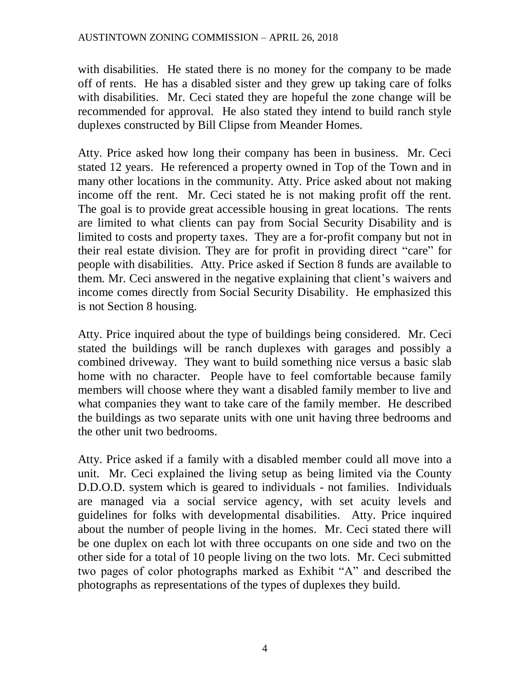with disabilities. He stated there is no money for the company to be made off of rents. He has a disabled sister and they grew up taking care of folks with disabilities. Mr. Ceci stated they are hopeful the zone change will be recommended for approval. He also stated they intend to build ranch style duplexes constructed by Bill Clipse from Meander Homes.

Atty. Price asked how long their company has been in business. Mr. Ceci stated 12 years. He referenced a property owned in Top of the Town and in many other locations in the community. Atty. Price asked about not making income off the rent. Mr. Ceci stated he is not making profit off the rent. The goal is to provide great accessible housing in great locations. The rents are limited to what clients can pay from Social Security Disability and is limited to costs and property taxes. They are a for-profit company but not in their real estate division. They are for profit in providing direct "care" for people with disabilities. Atty. Price asked if Section 8 funds are available to them. Mr. Ceci answered in the negative explaining that client's waivers and income comes directly from Social Security Disability. He emphasized this is not Section 8 housing.

Atty. Price inquired about the type of buildings being considered. Mr. Ceci stated the buildings will be ranch duplexes with garages and possibly a combined driveway. They want to build something nice versus a basic slab home with no character. People have to feel comfortable because family members will choose where they want a disabled family member to live and what companies they want to take care of the family member. He described the buildings as two separate units with one unit having three bedrooms and the other unit two bedrooms.

Atty. Price asked if a family with a disabled member could all move into a unit. Mr. Ceci explained the living setup as being limited via the County D.D.O.D. system which is geared to individuals - not families. Individuals are managed via a social service agency, with set acuity levels and guidelines for folks with developmental disabilities. Atty. Price inquired about the number of people living in the homes. Mr. Ceci stated there will be one duplex on each lot with three occupants on one side and two on the other side for a total of 10 people living on the two lots. Mr. Ceci submitted two pages of color photographs marked as Exhibit "A" and described the photographs as representations of the types of duplexes they build.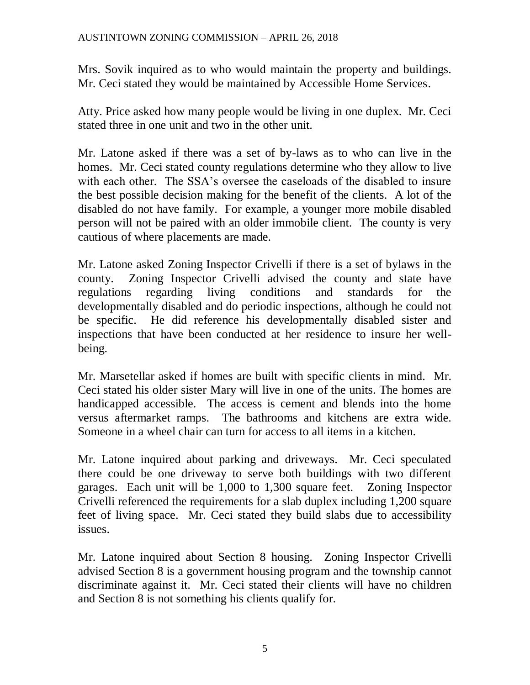Mrs. Sovik inquired as to who would maintain the property and buildings. Mr. Ceci stated they would be maintained by Accessible Home Services.

Atty. Price asked how many people would be living in one duplex. Mr. Ceci stated three in one unit and two in the other unit.

Mr. Latone asked if there was a set of by-laws as to who can live in the homes. Mr. Ceci stated county regulations determine who they allow to live with each other. The SSA's oversee the caseloads of the disabled to insure the best possible decision making for the benefit of the clients. A lot of the disabled do not have family. For example, a younger more mobile disabled person will not be paired with an older immobile client. The county is very cautious of where placements are made.

Mr. Latone asked Zoning Inspector Crivelli if there is a set of bylaws in the county. Zoning Inspector Crivelli advised the county and state have regulations regarding living conditions and standards for the developmentally disabled and do periodic inspections, although he could not be specific. He did reference his developmentally disabled sister and inspections that have been conducted at her residence to insure her wellbeing.

Mr. Marsetellar asked if homes are built with specific clients in mind. Mr. Ceci stated his older sister Mary will live in one of the units. The homes are handicapped accessible. The access is cement and blends into the home versus aftermarket ramps. The bathrooms and kitchens are extra wide. Someone in a wheel chair can turn for access to all items in a kitchen.

Mr. Latone inquired about parking and driveways. Mr. Ceci speculated there could be one driveway to serve both buildings with two different garages. Each unit will be 1,000 to 1,300 square feet. Zoning Inspector Crivelli referenced the requirements for a slab duplex including 1,200 square feet of living space. Mr. Ceci stated they build slabs due to accessibility issues.

Mr. Latone inquired about Section 8 housing. Zoning Inspector Crivelli advised Section 8 is a government housing program and the township cannot discriminate against it. Mr. Ceci stated their clients will have no children and Section 8 is not something his clients qualify for.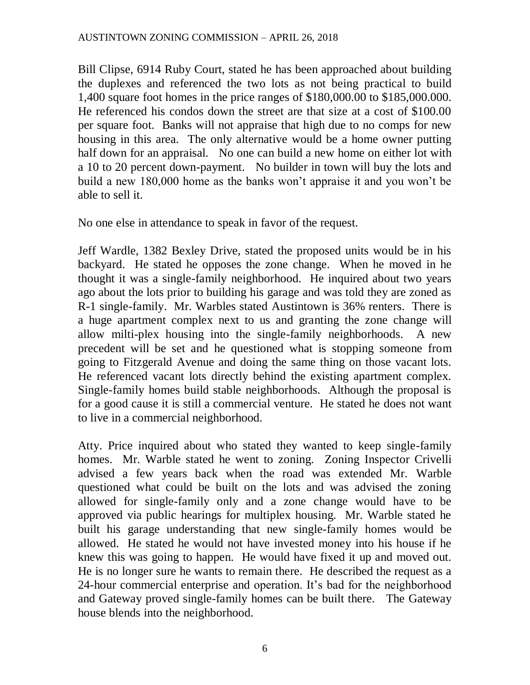Bill Clipse, 6914 Ruby Court, stated he has been approached about building the duplexes and referenced the two lots as not being practical to build 1,400 square foot homes in the price ranges of \$180,000.00 to \$185,000.000. He referenced his condos down the street are that size at a cost of \$100.00 per square foot. Banks will not appraise that high due to no comps for new housing in this area. The only alternative would be a home owner putting half down for an appraisal. No one can build a new home on either lot with a 10 to 20 percent down-payment. No builder in town will buy the lots and build a new 180,000 home as the banks won't appraise it and you won't be able to sell it.

No one else in attendance to speak in favor of the request.

Jeff Wardle, 1382 Bexley Drive, stated the proposed units would be in his backyard. He stated he opposes the zone change. When he moved in he thought it was a single-family neighborhood. He inquired about two years ago about the lots prior to building his garage and was told they are zoned as R-1 single-family. Mr. Warbles stated Austintown is 36% renters. There is a huge apartment complex next to us and granting the zone change will allow milti-plex housing into the single-family neighborhoods. A new precedent will be set and he questioned what is stopping someone from going to Fitzgerald Avenue and doing the same thing on those vacant lots. He referenced vacant lots directly behind the existing apartment complex. Single-family homes build stable neighborhoods. Although the proposal is for a good cause it is still a commercial venture. He stated he does not want to live in a commercial neighborhood.

Atty. Price inquired about who stated they wanted to keep single-family homes. Mr. Warble stated he went to zoning. Zoning Inspector Crivelli advised a few years back when the road was extended Mr. Warble questioned what could be built on the lots and was advised the zoning allowed for single-family only and a zone change would have to be approved via public hearings for multiplex housing. Mr. Warble stated he built his garage understanding that new single-family homes would be allowed. He stated he would not have invested money into his house if he knew this was going to happen. He would have fixed it up and moved out. He is no longer sure he wants to remain there. He described the request as a 24-hour commercial enterprise and operation. It's bad for the neighborhood and Gateway proved single-family homes can be built there. The Gateway house blends into the neighborhood.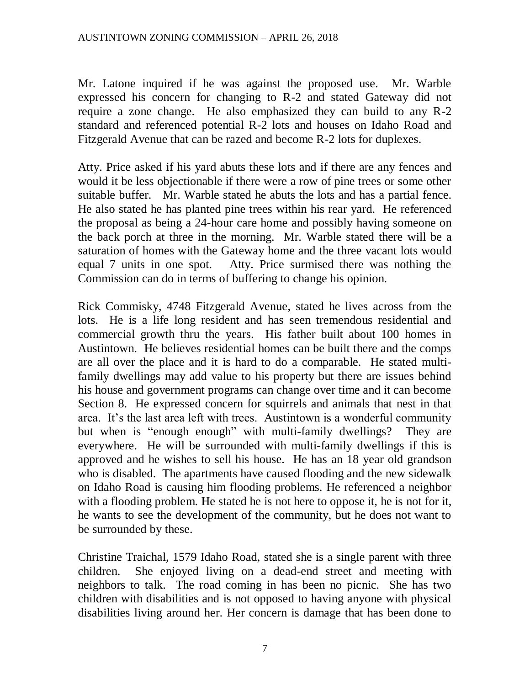Mr. Latone inquired if he was against the proposed use. Mr. Warble expressed his concern for changing to R-2 and stated Gateway did not require a zone change. He also emphasized they can build to any R-2 standard and referenced potential R-2 lots and houses on Idaho Road and Fitzgerald Avenue that can be razed and become R-2 lots for duplexes.

Atty. Price asked if his yard abuts these lots and if there are any fences and would it be less objectionable if there were a row of pine trees or some other suitable buffer. Mr. Warble stated he abuts the lots and has a partial fence. He also stated he has planted pine trees within his rear yard. He referenced the proposal as being a 24-hour care home and possibly having someone on the back porch at three in the morning. Mr. Warble stated there will be a saturation of homes with the Gateway home and the three vacant lots would equal 7 units in one spot. Atty. Price surmised there was nothing the Commission can do in terms of buffering to change his opinion.

Rick Commisky, 4748 Fitzgerald Avenue, stated he lives across from the lots. He is a life long resident and has seen tremendous residential and commercial growth thru the years. His father built about 100 homes in Austintown. He believes residential homes can be built there and the comps are all over the place and it is hard to do a comparable. He stated multifamily dwellings may add value to his property but there are issues behind his house and government programs can change over time and it can become Section 8. He expressed concern for squirrels and animals that nest in that area. It's the last area left with trees. Austintown is a wonderful community but when is "enough enough" with multi-family dwellings? They are everywhere. He will be surrounded with multi-family dwellings if this is approved and he wishes to sell his house. He has an 18 year old grandson who is disabled. The apartments have caused flooding and the new sidewalk on Idaho Road is causing him flooding problems. He referenced a neighbor with a flooding problem. He stated he is not here to oppose it, he is not for it, he wants to see the development of the community, but he does not want to be surrounded by these.

Christine Traichal, 1579 Idaho Road, stated she is a single parent with three children. She enjoyed living on a dead-end street and meeting with neighbors to talk. The road coming in has been no picnic. She has two children with disabilities and is not opposed to having anyone with physical disabilities living around her. Her concern is damage that has been done to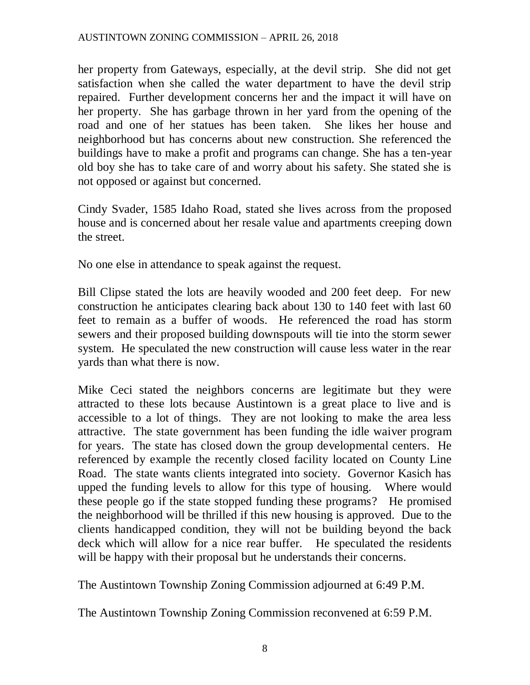her property from Gateways, especially, at the devil strip. She did not get satisfaction when she called the water department to have the devil strip repaired. Further development concerns her and the impact it will have on her property. She has garbage thrown in her yard from the opening of the road and one of her statues has been taken. She likes her house and neighborhood but has concerns about new construction. She referenced the buildings have to make a profit and programs can change. She has a ten-year old boy she has to take care of and worry about his safety. She stated she is not opposed or against but concerned.

Cindy Svader, 1585 Idaho Road, stated she lives across from the proposed house and is concerned about her resale value and apartments creeping down the street.

No one else in attendance to speak against the request.

Bill Clipse stated the lots are heavily wooded and 200 feet deep. For new construction he anticipates clearing back about 130 to 140 feet with last 60 feet to remain as a buffer of woods. He referenced the road has storm sewers and their proposed building downspouts will tie into the storm sewer system. He speculated the new construction will cause less water in the rear yards than what there is now.

Mike Ceci stated the neighbors concerns are legitimate but they were attracted to these lots because Austintown is a great place to live and is accessible to a lot of things. They are not looking to make the area less attractive. The state government has been funding the idle waiver program for years. The state has closed down the group developmental centers. He referenced by example the recently closed facility located on County Line Road. The state wants clients integrated into society. Governor Kasich has upped the funding levels to allow for this type of housing. Where would these people go if the state stopped funding these programs? He promised the neighborhood will be thrilled if this new housing is approved. Due to the clients handicapped condition, they will not be building beyond the back deck which will allow for a nice rear buffer. He speculated the residents will be happy with their proposal but he understands their concerns.

The Austintown Township Zoning Commission adjourned at 6:49 P.M.

The Austintown Township Zoning Commission reconvened at 6:59 P.M.